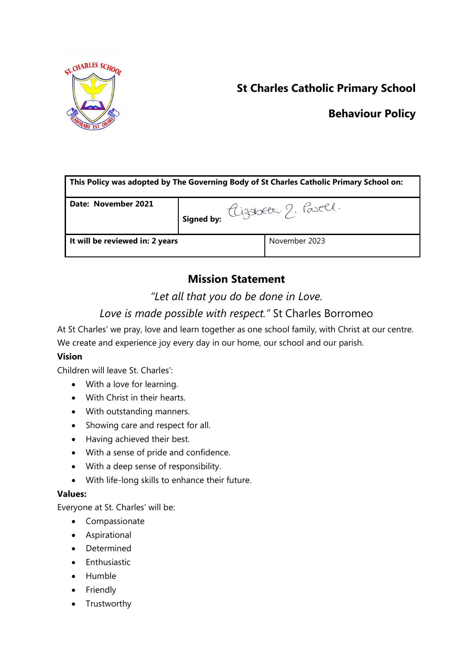

# **St Charles Catholic Primary School**

## **Behaviour Policy**

| This Policy was adopted by The Governing Body of St Charles Catholic Primary School on: |                                   |               |  |  |
|-----------------------------------------------------------------------------------------|-----------------------------------|---------------|--|--|
| Date: November 2021                                                                     | I signed by: Cizabett, 2. Pasell. |               |  |  |
| It will be reviewed in: 2 years                                                         |                                   | November 2023 |  |  |

# **Mission Statement**

## *"Let all that you do be done in Love.*

# *Love is made possible with respect."* St Charles Borromeo

At St Charles' we pray, love and learn together as one school family, with Christ at our centre. We create and experience joy every day in our home, our school and our parish.

## **Vision**

Children will leave St. Charles':

- With a love for learning.
- With Christ in their hearts.
- With outstanding manners.
- Showing care and respect for all.
- Having achieved their best.
- With a sense of pride and confidence.
- With a deep sense of responsibility.
- With life-long skills to enhance their future.

### **Values:**

Everyone at St. Charles' will be:

- Compassionate
- Aspirational
- Determined
- $\bullet$  Enthusiastic
- Humble
- Friendly
- Trustworthy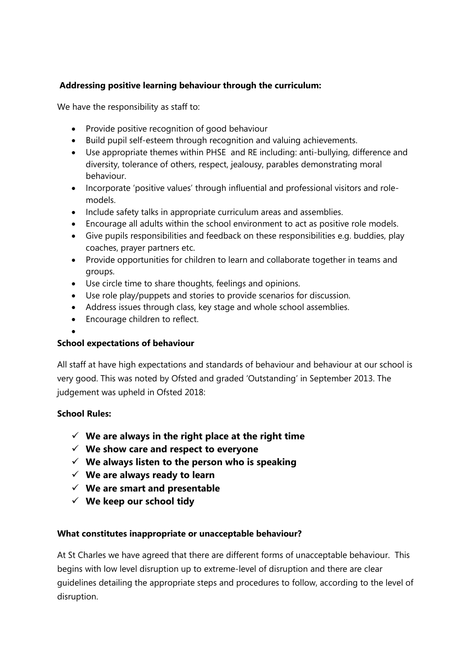#### **Addressing positive learning behaviour through the curriculum:**

We have the responsibility as staff to:

- Provide positive recognition of good behaviour
- Build pupil self-esteem through recognition and valuing achievements.
- Use appropriate themes within PHSE and RE including: anti-bullying, difference and diversity, tolerance of others, respect, jealousy, parables demonstrating moral behaviour.
- Incorporate 'positive values' through influential and professional visitors and rolemodels.
- Include safety talks in appropriate curriculum areas and assemblies.
- Encourage all adults within the school environment to act as positive role models.
- Give pupils responsibilities and feedback on these responsibilities e.g. buddies, play coaches, prayer partners etc.
- Provide opportunities for children to learn and collaborate together in teams and groups.
- Use circle time to share thoughts, feelings and opinions.
- Use role play/puppets and stories to provide scenarios for discussion.
- Address issues through class, key stage and whole school assemblies.
- Encourage children to reflect.

#### $\bullet$

#### **School expectations of behaviour**

All staff at have high expectations and standards of behaviour and behaviour at our school is very good. This was noted by Ofsted and graded 'Outstanding' in September 2013. The judgement was upheld in Ofsted 2018:

#### **School Rules:**

- **We are always in the right place at the right time**
- **We show care and respect to everyone**
- **We always listen to the person who is speaking**
- **We are always ready to learn**
- **We are smart and presentable**
- **We keep our school tidy**

#### **What constitutes inappropriate or unacceptable behaviour?**

At St Charles we have agreed that there are different forms of unacceptable behaviour. This begins with low level disruption up to extreme-level of disruption and there are clear guidelines detailing the appropriate steps and procedures to follow, according to the level of disruption.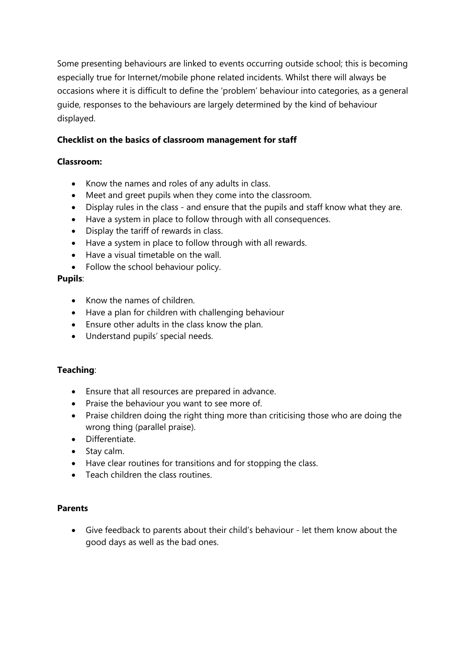Some presenting behaviours are linked to events occurring outside school; this is becoming especially true for Internet/mobile phone related incidents. Whilst there will always be occasions where it is difficult to define the 'problem' behaviour into categories, as a general guide, responses to the behaviours are largely determined by the kind of behaviour displayed.

#### **Checklist on the basics of classroom management for staff**

#### **Classroom:**

- Know the names and roles of any adults in class.
- Meet and greet pupils when they come into the classroom.
- Display rules in the class and ensure that the pupils and staff know what they are.
- Have a system in place to follow through with all consequences.
- Display the tariff of rewards in class.
- Have a system in place to follow through with all rewards.
- Have a visual timetable on the wall.
- Follow the school behaviour policy.

#### **Pupils**:

- Know the names of children.
- Have a plan for children with challenging behaviour
- Ensure other adults in the class know the plan.
- Understand pupils' special needs.

#### **Teaching**:

- Ensure that all resources are prepared in advance.
- Praise the behaviour you want to see more of.
- Praise children doing the right thing more than criticising those who are doing the wrong thing (parallel praise).
- Differentiate.
- Stay calm.
- Have clear routines for transitions and for stopping the class.
- Teach children the class routines.

#### **Parents**

 Give feedback to parents about their child's behaviour - let them know about the good days as well as the bad ones.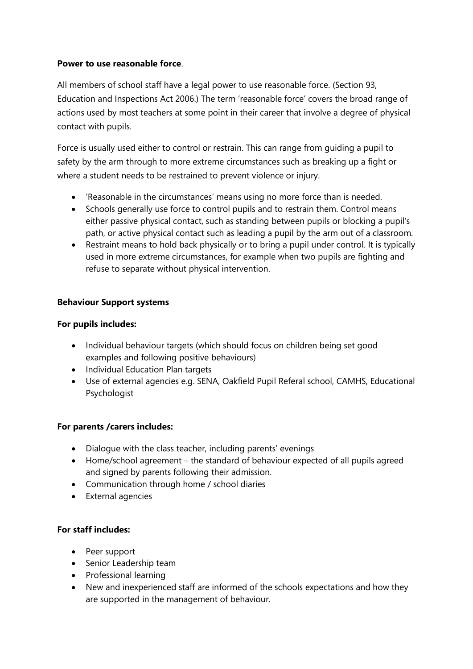#### **Power to use reasonable force**.

All members of school staff have a legal power to use reasonable force. (Section 93, Education and Inspections Act 2006.) The term 'reasonable force' covers the broad range of actions used by most teachers at some point in their career that involve a degree of physical contact with pupils.

Force is usually used either to control or restrain. This can range from guiding a pupil to safety by the arm through to more extreme circumstances such as breaking up a fight or where a student needs to be restrained to prevent violence or injury.

- 'Reasonable in the circumstances' means using no more force than is needed.
- Schools generally use force to control pupils and to restrain them. Control means either passive physical contact, such as standing between pupils or blocking a pupil's path, or active physical contact such as leading a pupil by the arm out of a classroom.
- Restraint means to hold back physically or to bring a pupil under control. It is typically used in more extreme circumstances, for example when two pupils are fighting and refuse to separate without physical intervention.

#### **Behaviour Support systems**

#### **For pupils includes:**

- Individual behaviour targets (which should focus on children being set good examples and following positive behaviours)
- Individual Education Plan targets
- Use of external agencies e.g. SENA, Oakfield Pupil Referal school, CAMHS, Educational Psychologist

### **For parents /carers includes:**

- Dialogue with the class teacher, including parents' evenings
- Home/school agreement the standard of behaviour expected of all pupils agreed and signed by parents following their admission.
- Communication through home / school diaries
- External agencies

### **For staff includes:**

- Peer support
- Senior Leadership team
- Professional learning
- New and inexperienced staff are informed of the schools expectations and how they are supported in the management of behaviour.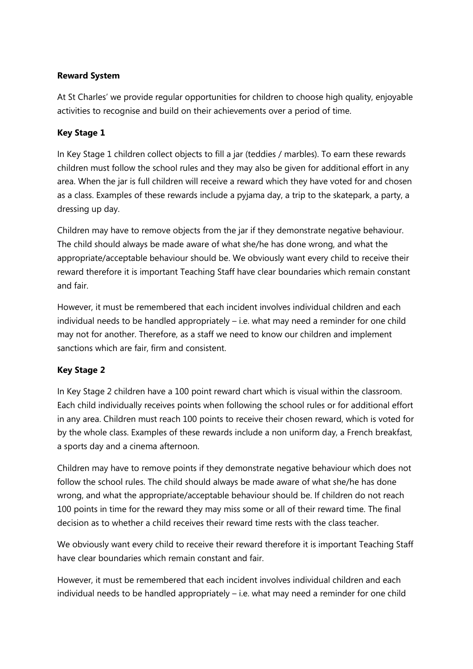#### **Reward System**

At St Charles' we provide regular opportunities for children to choose high quality, enjoyable activities to recognise and build on their achievements over a period of time.

### **Key Stage 1**

In Key Stage 1 children collect objects to fill a jar (teddies / marbles). To earn these rewards children must follow the school rules and they may also be given for additional effort in any area. When the jar is full children will receive a reward which they have voted for and chosen as a class. Examples of these rewards include a pyjama day, a trip to the skatepark, a party, a dressing up day.

Children may have to remove objects from the jar if they demonstrate negative behaviour. The child should always be made aware of what she/he has done wrong, and what the appropriate/acceptable behaviour should be. We obviously want every child to receive their reward therefore it is important Teaching Staff have clear boundaries which remain constant and fair.

However, it must be remembered that each incident involves individual children and each individual needs to be handled appropriately – i.e. what may need a reminder for one child may not for another. Therefore, as a staff we need to know our children and implement sanctions which are fair, firm and consistent.

### **Key Stage 2**

In Key Stage 2 children have a 100 point reward chart which is visual within the classroom. Each child individually receives points when following the school rules or for additional effort in any area. Children must reach 100 points to receive their chosen reward, which is voted for by the whole class. Examples of these rewards include a non uniform day, a French breakfast, a sports day and a cinema afternoon.

Children may have to remove points if they demonstrate negative behaviour which does not follow the school rules. The child should always be made aware of what she/he has done wrong, and what the appropriate/acceptable behaviour should be. If children do not reach 100 points in time for the reward they may miss some or all of their reward time. The final decision as to whether a child receives their reward time rests with the class teacher.

We obviously want every child to receive their reward therefore it is important Teaching Staff have clear boundaries which remain constant and fair.

However, it must be remembered that each incident involves individual children and each individual needs to be handled appropriately – i.e. what may need a reminder for one child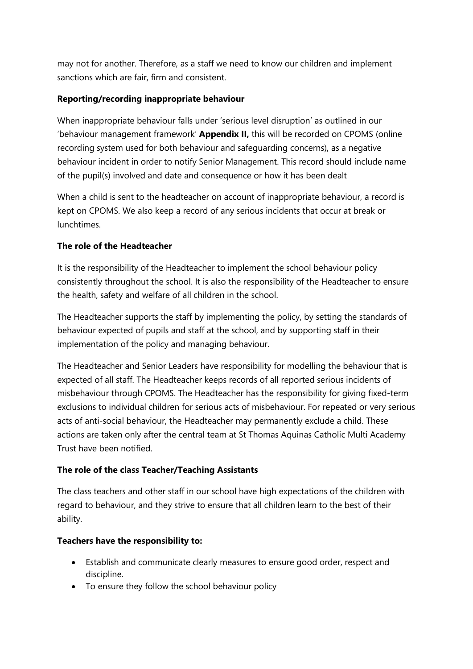may not for another. Therefore, as a staff we need to know our children and implement sanctions which are fair, firm and consistent.

#### **Reporting/recording inappropriate behaviour**

When inappropriate behaviour falls under 'serious level disruption' as outlined in our 'behaviour management framework' **Appendix II,** this will be recorded on CPOMS (online recording system used for both behaviour and safeguarding concerns), as a negative behaviour incident in order to notify Senior Management. This record should include name of the pupil(s) involved and date and consequence or how it has been dealt

When a child is sent to the headteacher on account of inappropriate behaviour, a record is kept on CPOMS. We also keep a record of any serious incidents that occur at break or lunchtimes.

#### **The role of the Headteacher**

It is the responsibility of the Headteacher to implement the school behaviour policy consistently throughout the school. It is also the responsibility of the Headteacher to ensure the health, safety and welfare of all children in the school.

The Headteacher supports the staff by implementing the policy, by setting the standards of behaviour expected of pupils and staff at the school, and by supporting staff in their implementation of the policy and managing behaviour.

The Headteacher and Senior Leaders have responsibility for modelling the behaviour that is expected of all staff. The Headteacher keeps records of all reported serious incidents of misbehaviour through CPOMS. The Headteacher has the responsibility for giving fixed-term exclusions to individual children for serious acts of misbehaviour. For repeated or very serious acts of anti-social behaviour, the Headteacher may permanently exclude a child. These actions are taken only after the central team at St Thomas Aquinas Catholic Multi Academy Trust have been notified.

#### **The role of the class Teacher/Teaching Assistants**

The class teachers and other staff in our school have high expectations of the children with regard to behaviour, and they strive to ensure that all children learn to the best of their ability.

#### **Teachers have the responsibility to:**

- Establish and communicate clearly measures to ensure good order, respect and discipline.
- To ensure they follow the school behaviour policy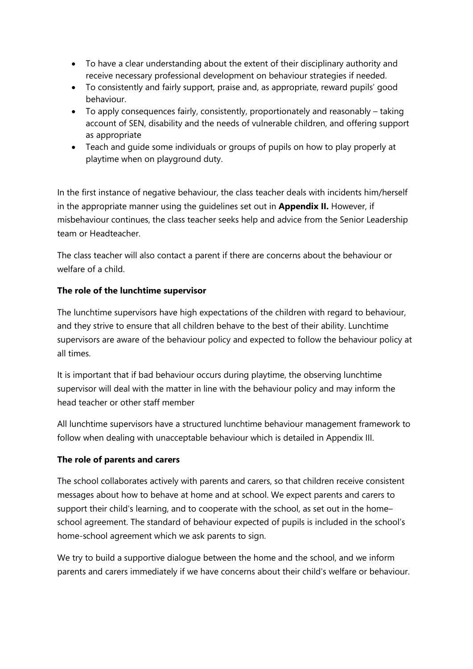- To have a clear understanding about the extent of their disciplinary authority and receive necessary professional development on behaviour strategies if needed.
- To consistently and fairly support, praise and, as appropriate, reward pupils' good behaviour.
- To apply consequences fairly, consistently, proportionately and reasonably taking account of SEN, disability and the needs of vulnerable children, and offering support as appropriate
- Teach and guide some individuals or groups of pupils on how to play properly at playtime when on playground duty.

In the first instance of negative behaviour, the class teacher deals with incidents him/herself in the appropriate manner using the guidelines set out in **Appendix II.** However, if misbehaviour continues, the class teacher seeks help and advice from the Senior Leadership team or Headteacher.

The class teacher will also contact a parent if there are concerns about the behaviour or welfare of a child.

### **The role of the lunchtime supervisor**

The lunchtime supervisors have high expectations of the children with regard to behaviour, and they strive to ensure that all children behave to the best of their ability. Lunchtime supervisors are aware of the behaviour policy and expected to follow the behaviour policy at all times.

It is important that if bad behaviour occurs during playtime, the observing lunchtime supervisor will deal with the matter in line with the behaviour policy and may inform the head teacher or other staff member

All lunchtime supervisors have a structured lunchtime behaviour management framework to follow when dealing with unacceptable behaviour which is detailed in Appendix III.

#### **The role of parents and carers**

The school collaborates actively with parents and carers, so that children receive consistent messages about how to behave at home and at school. We expect parents and carers to support their child's learning, and to cooperate with the school, as set out in the home– school agreement. The standard of behaviour expected of pupils is included in the school's home-school agreement which we ask parents to sign.

We try to build a supportive dialogue between the home and the school, and we inform parents and carers immediately if we have concerns about their child's welfare or behaviour.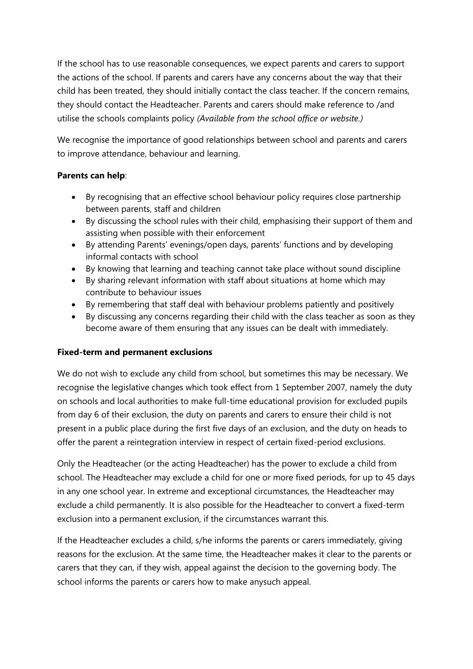If the school has to use reasonable consequences, we expect parents and carers to support the actions of the school. If parents and carers have any concerns about the way that their child has been treated, they should initially contact the class teacher. If the concern remains, they should contact the Headteacher. Parents and carers should make reference to /and utilise the schools complaints policy *(Available from the school office or website.)*

We recognise the importance of good relationships between school and parents and carers to improve attendance, behaviour and learning.

#### **Parents can help**:

- By recognising that an effective school behaviour policy requires close partnership between parents, staff and children
- By discussing the school rules with their child, emphasising their support of them and assisting when possible with their enforcement
- By attending Parents' evenings/open days, parents' functions and by developing informal contacts with school
- By knowing that learning and teaching cannot take place without sound discipline
- By sharing relevant information with staff about situations at home which may contribute to behaviour issues
- By remembering that staff deal with behaviour problems patiently and positively
- By discussing any concerns regarding their child with the class teacher as soon as they become aware of them ensuring that any issues can be dealt with immediately.

### **Fixed-term and permanent exclusions**

We do not wish to exclude any child from school, but sometimes this may be necessary. We recognise the legislative changes which took effect from 1 September 2007, namely the duty on schools and local authorities to make full-time educational provision for excluded pupils from day 6 of their exclusion, the duty on parents and carers to ensure their child is not present in a public place during the first five days of an exclusion, and the duty on heads to offer the parent a reintegration interview in respect of certain fixed-period exclusions.

Only the Headteacher (or the acting Headteacher) has the power to exclude a child from school. The Headteacher may exclude a child for one or more fixed periods, for up to 45 days in any one school year. In extreme and exceptional circumstances, the Headteacher may exclude a child permanently. It is also possible for the Headteacher to convert a fixed-term exclusion into a permanent exclusion, if the circumstances warrant this.

If the Headteacher excludes a child, s/he informs the parents or carers immediately, giving reasons for the exclusion. At the same time, the Headteacher makes it clear to the parents or carers that they can, if they wish, appeal against the decision to the governing body. The school informs the parents or carers how to make anysuch appeal.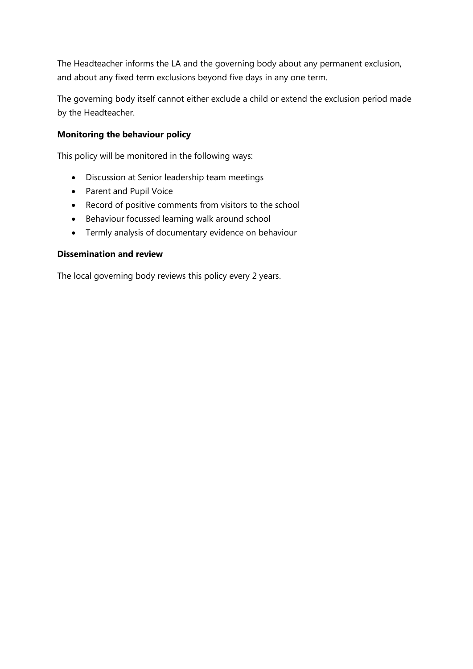The Headteacher informs the LA and the governing body about any permanent exclusion, and about any fixed term exclusions beyond five days in any one term.

The governing body itself cannot either exclude a child or extend the exclusion period made by the Headteacher.

#### **Monitoring the behaviour policy**

This policy will be monitored in the following ways:

- Discussion at Senior leadership team meetings
- Parent and Pupil Voice
- Record of positive comments from visitors to the school
- Behaviour focussed learning walk around school
- Termly analysis of documentary evidence on behaviour

#### **Dissemination and review**

The local governing body reviews this policy every 2 years.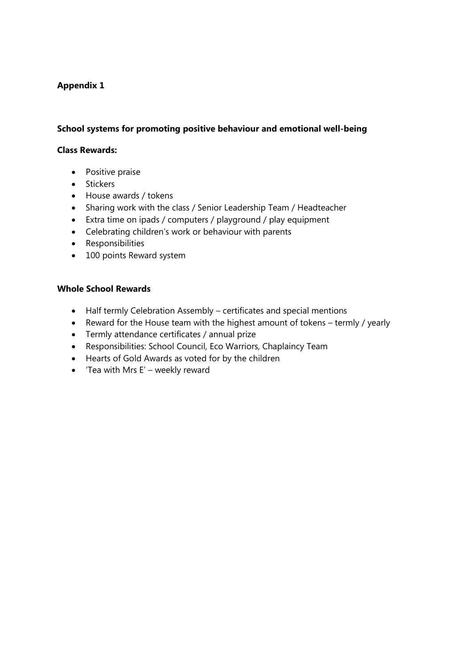#### **Appendix 1**

#### **School systems for promoting positive behaviour and emotional well-being**

#### **Class Rewards:**

- Positive praise
- Stickers
- House awards / tokens
- Sharing work with the class / Senior Leadership Team / Headteacher
- Extra time on ipads / computers / playground / play equipment
- Celebrating children's work or behaviour with parents
- Responsibilities
- 100 points Reward system

#### **Whole School Rewards**

- Half termly Celebration Assembly certificates and special mentions
- Reward for the House team with the highest amount of tokens termly / yearly
- Termly attendance certificates / annual prize
- Responsibilities: School Council, Eco Warriors, Chaplaincy Team
- Hearts of Gold Awards as voted for by the children
- $\bullet$  'Tea with Mrs E' weekly reward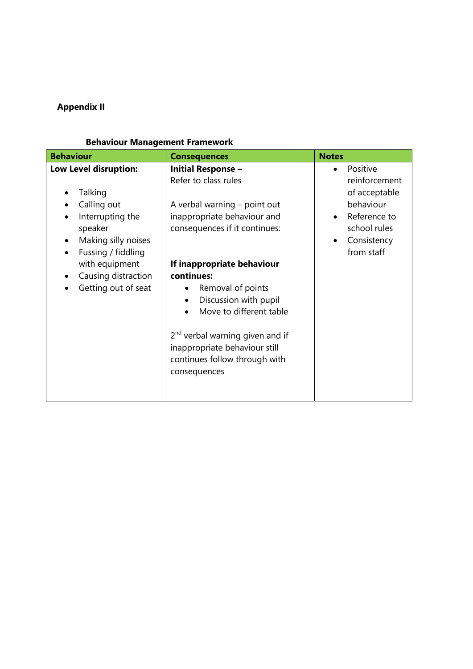## **Appendix II**

## **Behaviour Management Framework**

| <b>Behaviour</b>                                                                                                                                                                            | <b>Consequences</b>                                                                                                                                                                                                                                                                                                                                                                                                  | <b>Notes</b>                                                                                                         |
|---------------------------------------------------------------------------------------------------------------------------------------------------------------------------------------------|----------------------------------------------------------------------------------------------------------------------------------------------------------------------------------------------------------------------------------------------------------------------------------------------------------------------------------------------------------------------------------------------------------------------|----------------------------------------------------------------------------------------------------------------------|
| Low Level disruption:<br>Talking<br>Calling out<br>Interrupting the<br>speaker<br>Making silly noises<br>Fussing / fiddling<br>with equipment<br>Causing distraction<br>Getting out of seat | <b>Initial Response -</b><br>Refer to class rules<br>A verbal warning – point out<br>inappropriate behaviour and<br>consequences if it continues:<br>If inappropriate behaviour<br>continues:<br>Removal of points<br>Discussion with pupil<br>$\bullet$<br>Move to different table<br>2 <sup>nd</sup> verbal warning given and if<br>inappropriate behaviour still<br>continues follow through with<br>consequences | Positive<br>reinforcement<br>of acceptable<br>behaviour<br>Reference to<br>school rules<br>Consistency<br>from staff |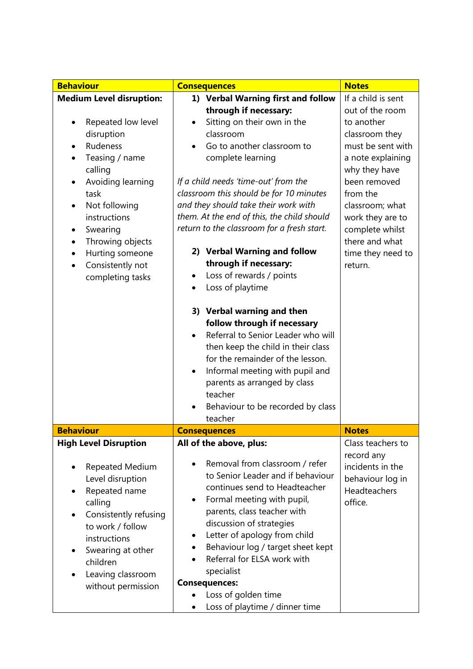| <b>Behaviour</b>                                                                                                                                                                                       | <b>Consequences</b>                                                                                                                                                                                                                                                                                                                               | <b>Notes</b>                                                                  |
|--------------------------------------------------------------------------------------------------------------------------------------------------------------------------------------------------------|---------------------------------------------------------------------------------------------------------------------------------------------------------------------------------------------------------------------------------------------------------------------------------------------------------------------------------------------------|-------------------------------------------------------------------------------|
| <b>Medium Level disruption:</b>                                                                                                                                                                        | 1) Verbal Warning first and follow                                                                                                                                                                                                                                                                                                                | If a child is sent                                                            |
|                                                                                                                                                                                                        | through if necessary:                                                                                                                                                                                                                                                                                                                             | out of the room                                                               |
| Repeated low level                                                                                                                                                                                     | Sitting on their own in the<br>$\bullet$                                                                                                                                                                                                                                                                                                          | to another                                                                    |
| disruption                                                                                                                                                                                             | classroom                                                                                                                                                                                                                                                                                                                                         | classroom they                                                                |
| Rudeness                                                                                                                                                                                               | Go to another classroom to                                                                                                                                                                                                                                                                                                                        | must be sent with                                                             |
| Teasing / name<br>٠                                                                                                                                                                                    | complete learning                                                                                                                                                                                                                                                                                                                                 | a note explaining                                                             |
| calling                                                                                                                                                                                                |                                                                                                                                                                                                                                                                                                                                                   | why they have                                                                 |
| Avoiding learning<br>$\bullet$                                                                                                                                                                         | If a child needs 'time-out' from the                                                                                                                                                                                                                                                                                                              | been removed                                                                  |
| task                                                                                                                                                                                                   | classroom this should be for 10 minutes                                                                                                                                                                                                                                                                                                           | from the                                                                      |
| Not following<br>$\bullet$                                                                                                                                                                             | and they should take their work with                                                                                                                                                                                                                                                                                                              | classroom; what                                                               |
| instructions                                                                                                                                                                                           | them. At the end of this, the child should                                                                                                                                                                                                                                                                                                        | work they are to                                                              |
| Swearing                                                                                                                                                                                               | return to the classroom for a fresh start.                                                                                                                                                                                                                                                                                                        | complete whilst                                                               |
| Throwing objects<br>$\bullet$                                                                                                                                                                          |                                                                                                                                                                                                                                                                                                                                                   | there and what                                                                |
| Hurting someone<br>$\bullet$                                                                                                                                                                           | 2) Verbal Warning and follow                                                                                                                                                                                                                                                                                                                      | time they need to                                                             |
| Consistently not<br>$\bullet$                                                                                                                                                                          | through if necessary:                                                                                                                                                                                                                                                                                                                             | return.                                                                       |
| completing tasks                                                                                                                                                                                       | Loss of rewards / points                                                                                                                                                                                                                                                                                                                          |                                                                               |
|                                                                                                                                                                                                        | Loss of playtime<br>$\bullet$                                                                                                                                                                                                                                                                                                                     |                                                                               |
|                                                                                                                                                                                                        | 3) Verbal warning and then<br>follow through if necessary<br>Referral to Senior Leader who will<br>then keep the child in their class<br>for the remainder of the lesson.<br>Informal meeting with pupil and<br>٠<br>parents as arranged by class<br>teacher<br>Behaviour to be recorded by class<br>teacher                                      |                                                                               |
| <b>Behaviour</b>                                                                                                                                                                                       | <b>Consequences</b>                                                                                                                                                                                                                                                                                                                               | <b>Notes</b>                                                                  |
| <b>High Level Disruption</b>                                                                                                                                                                           | All of the above, plus:                                                                                                                                                                                                                                                                                                                           | Class teachers to                                                             |
| <b>Repeated Medium</b><br>$\bullet$<br>Level disruption<br>Repeated name<br>calling<br>Consistently refusing<br>to work / follow<br>instructions<br>Swearing at other<br>children<br>Leaving classroom | Removal from classroom / refer<br>to Senior Leader and if behaviour<br>continues send to Headteacher<br>Formal meeting with pupil,<br>٠<br>parents, class teacher with<br>discussion of strategies<br>Letter of apology from child<br>٠<br>Behaviour log / target sheet kept<br>Referral for ELSA work with<br>specialist<br><b>Consequences:</b> | record any<br>incidents in the<br>behaviour log in<br>Headteachers<br>office. |
| without permission                                                                                                                                                                                     | Loss of golden time                                                                                                                                                                                                                                                                                                                               |                                                                               |
|                                                                                                                                                                                                        | Loss of playtime / dinner time                                                                                                                                                                                                                                                                                                                    |                                                                               |